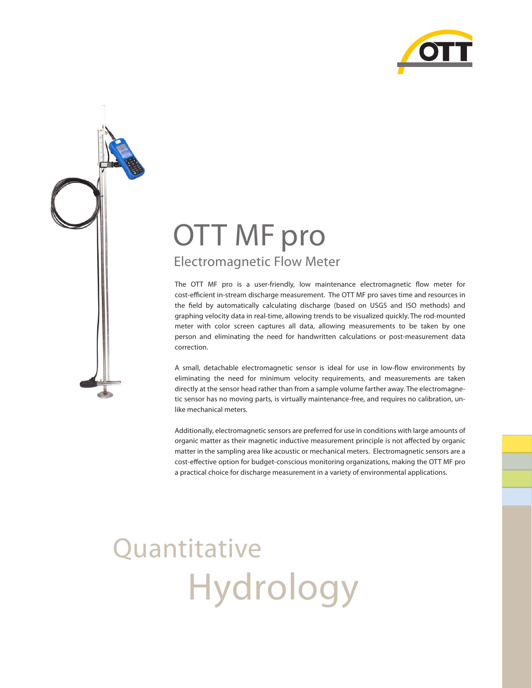

## OTT MF pro Electromagnetic Flow Meter

The OTT MF pro is a user-friendly, low maintenance electromagnetic flow meter for cost-efficient in-stream discharge measurement. The OTT MF pro saves time and resources in the field by automatically calculating discharge (based on USGS and ISO methods) and graphing velocity data in real-time, allowing trends to be visualized quickly. The rod-mounted meter with color screen captures all data, allowing measurements to be taken by one person and eliminating the need for handwritten calculations or post-measurement data correction.

A small, detachable electromagnetic sensor is ideal for use in low-flow environments by eliminating the need for minimum velocity requirements, and measurements are taken directly at the sensor head rather than from a sample volume farther away. The electromagnetic sensor has no moving parts, is virtually maintenance-free, and requires no calibration, unlike mechanical meters.

Additionally, electromagnetic sensors are preferred for use in conditions with large amounts of organic matter as their magnetic inductive measurement principle is not affected by organic matter in the sampling area like acoustic or mechanical meters. Electromagnetic sensors are a cost-effective option for budget-conscious monitoring organizations, making the OTT MF pro a practical choice for discharge measurement in a variety of environmental applications.

# Hydrology **Ouantitative**